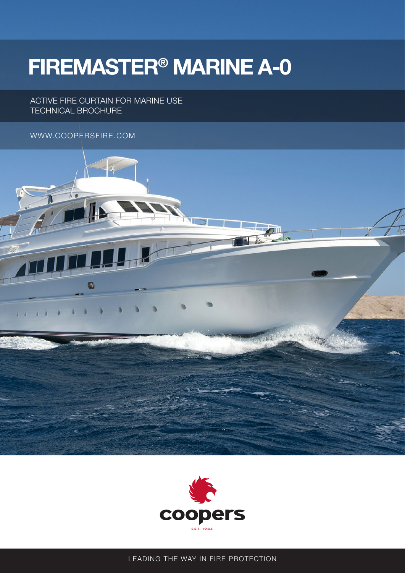# **FIREMASTER® MARINE A-0**

ACTIVE FIRE CURTAIN FOR MARINE USE TECHNICAL BROCHURE

### WWW.COOPERSFIRE.COM





LEADING THE WAY IN FIRE PROTECTION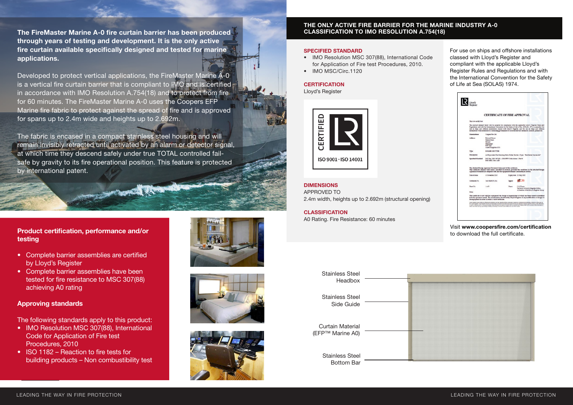## **Product certification, performance and/or testing**

- Complete barrier assemblies are certified by Lloyd's Register
- Complete barrier assemblies have been tested for fire resistance to MSC 307(88) achieving A0 rating

## **Approving standards**

The following standards apply to this product:

#### LEADING THE WAY IN FIRE PROTECTION LEADING THE WAY IN FIRE PROTECTION

- IMO Resolution MSC 307(88), International Code for Application of Fire test Procedures, 2010
- ISO 1182 Reaction to fire tests for building products – Non combustibility test







## **THE ONLY ACTIVE FIRE BARRIER FOR THE MARINE INDUSTRY A-0 CLASSIFICATION TO IMO RESOLUTION A.754(18)**

**The FireMaster Marine A-0 fire curtain barrier has been produced through years of testing and development. It is the only active fire curtain available specifically designed and tested for marine applications.** 

- IMO Resolution MSC 307(88), International Code for Application of Fire test Procedures, 2010.
- IMO MSC/Circ.1120

Developed to protect vertical applications, the FireMaster Marine A-0 is a vertical fire curtain barrier that is compliant to IMO and is certified in accordance with IMO Resolution A.754(18) and to protect from fire for 60 minutes. The FireMaster Marine A-0 uses the Coopers EFP Marine fire fabric to protect against the spread of fire and is approved for spans up to 2.4m wide and heights up to 2.692m.

The fabric is encased in a compact stainless steel housing and will remain invisibly retracted until activated by an alarm or detector signal, at which time they descend safely under true TOTAL controlled failsafe by gravity to its fire operational position. This feature is protected by international patent.

#### **SPECIFIED STANDARD**

## **CERTIFICATION**

Lloyd's Register



#### **DIMENSIONS** APPROVED TO 2.4m width, heights up to 2.692m (structural opening)

#### **CLASSIFICATION**

A0 Rating. Fire Resistance: 60 minutes

For use on ships and offshore installations classed with Lloyd's Register and compliant with the applicable Lloyd's Register Rules and Regulations and with the International Convention for the Safety of Life at Sea (SOLAS) 1974.

|  | <b>CERTIFICATE OF FIRE APPROVAL</b>                                                                                                                                                                                                                                                                                                                                                                                                                                                                                                                                                                                                                                                    |                                                                                             |        |                                                                                            |
|--|----------------------------------------------------------------------------------------------------------------------------------------------------------------------------------------------------------------------------------------------------------------------------------------------------------------------------------------------------------------------------------------------------------------------------------------------------------------------------------------------------------------------------------------------------------------------------------------------------------------------------------------------------------------------------------------|---------------------------------------------------------------------------------------------|--------|--------------------------------------------------------------------------------------------|
|  | This is to certify that                                                                                                                                                                                                                                                                                                                                                                                                                                                                                                                                                                                                                                                                |                                                                                             |        |                                                                                            |
|  | The product detailed below will be accepted for compliance with the applicable Lloyd's Register Rules and<br>Regulations and with the International Convention for the Safety of Life at Sea. (SOLAS), 1974, as annended, for<br>use on ships and offshore installations classed with Lloyd's Register, and for use on ships and offshore<br>installations when authorised by contracting governments to issue the relevant certificates. Boences, permits etc.                                                                                                                                                                                                                        |                                                                                             |        |                                                                                            |
|  | <b>Manufacturer</b>                                                                                                                                                                                                                                                                                                                                                                                                                                                                                                                                                                                                                                                                    | Coopers Fire Ltd.                                                                           |        |                                                                                            |
|  | <b>Address</b>                                                                                                                                                                                                                                                                                                                                                                                                                                                                                                                                                                                                                                                                         | <b>Edward House</b><br>Permer Road<br>Hayant<br>Hampshire<br>POR ICZ<br>United Fingdom (UF) |        |                                                                                            |
|  | Type                                                                                                                                                                                                                                                                                                                                                                                                                                                                                                                                                                                                                                                                                   | <b>ROLLER SHUTTER</b>                                                                       |        |                                                                                            |
|  | Description.                                                                                                                                                                                                                                                                                                                                                                                                                                                                                                                                                                                                                                                                           | A-O Equivalent Fire Resisting Fabric Roller Shutter - Type: "FireMaster Marine A-O"         |        |                                                                                            |
|  | Specified Standard                                                                                                                                                                                                                                                                                                                                                                                                                                                                                                                                                                                                                                                                     | DIO Res. MSC 307(88) - (2010 FTP Code) Annex 1 Part 3<br>D40 MSC/Circ 1120                  |        |                                                                                            |
|  | The attached Design Appraisal Document forms part of this certificate.<br>This certificate remains valid unless cancelled or revoked, provided the conditions in the attached Design<br>Appealsal Document are complied with and the equipment remains satisfactory in service.                                                                                                                                                                                                                                                                                                                                                                                                        |                                                                                             |        |                                                                                            |
|  | Date of issue                                                                                                                                                                                                                                                                                                                                                                                                                                                                                                                                                                                                                                                                          | o Navepriser 2015                                                                           |        | Expiry date 22 May 2023                                                                    |
|  | Certificate No.                                                                                                                                                                                                                                                                                                                                                                                                                                                                                                                                                                                                                                                                        | 5AS F180278/M1                                                                              | Signed |                                                                                            |
|  | Sheet No.                                                                                                                                                                                                                                                                                                                                                                                                                                                                                                                                                                                                                                                                              | $1$ of $3$                                                                                  | Name   | J. M. Evans<br>Surveyor to Lloyd's Register EMEA<br>A Member of the Lloyd's Register Group |
|  | Note:                                                                                                                                                                                                                                                                                                                                                                                                                                                                                                                                                                                                                                                                                  |                                                                                             |        |                                                                                            |
|  | This certificate is not valid for equipment, the design or manufacture of which has been varied or modified<br>from the specimen tested. The manufacturer should notify Lloyd's Register of any modification or changes to<br>the equipment in coder to obtain a valid Certificate.                                                                                                                                                                                                                                                                                                                                                                                                    |                                                                                             |        |                                                                                            |
|  | Licyt's Angiltix Group Limited, its affiliates and tubiodames and their respective officers, employees or agents are, individually and collectively, referred to in this clause as<br>the 'Litsel's Register', Licen's Register assumes no responsibility and shall not be lable to any person for any loss, damage or expense caused by relation on the information<br>or addits in this discursed or housseast provided, unless that period has signed a contract with the relevant Libyd's Register antity for the providers of this information or<br>adoto and in that case any responsibility or liability is exclusively on the latins and conditions set out in that contract. |                                                                                             |        |                                                                                            |
|  |                                                                                                                                                                                                                                                                                                                                                                                                                                                                                                                                                                                                                                                                                        |                                                                                             |        |                                                                                            |

Visit **www.coopersfire.com/certification** to download the full certificate.